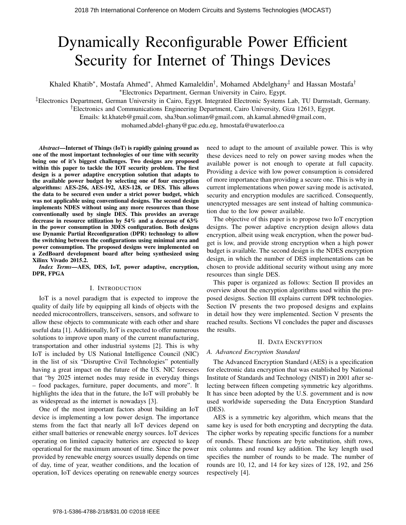# Dynamically Reconfigurable Power Efficient Security for Internet of Things Devices

Khaled Khatib<sup>∗</sup>, Mostafa Ahmed<sup>∗</sup>, Ahmed Kamaleldin<sup>†</sup>, Mohamed Abdelghany<sup>‡</sup> and Hassan Mostafa<sup>†</sup>

<sup>∗</sup>Electronics Department, German University in Cairo, Egypt.

‡Electronics Department, German University in Cairo, Egypt. Integrated Electronic Systems Lab, TU Darmstadt, Germany.

†Electronics and Communications Engineering Department, Cairo University, Giza 12613, Egypt.

Emails: kt.khateb@gmail.com, sha3ban.soliman@gmail.com, ah.kamal.ahmed@gmail.com,

mohamed.abdel-ghany@guc.edu.eg, hmostafa@uwaterloo.ca

*Abstract*—Internet of Things (IoT) is rapidly gaining ground as one of the most important technologies of our time with security being one of it's biggest challenges. Two designs are proposed within this paper to tackle the IOT security problem. The first design is a power adaptive encryption solution that adapts to the available power budget by selecting one of four encryption algorithms: AES-256, AES-192, AES-128, or DES. This allows the data to be secured even under a strict power budget, which was not applicable using conventional designs. The second design implements NDES without using any more resources than those conventionally used by single DES. This provides an average decrease in resource utilization by 54% and a decrease of 63% in the power consumption in 3DES configuration. Both designs use Dynamic Partial Reconfiguration (DPR) technology to allow the switching between the configurations using minimal area and power consumption. The proposed designs were implemented on a ZedBoard development board after being synthesized using Xilinx Vivado 2015.2.

*Index Terms*—AES, DES, IoT, power adaptive, encryption, DPR, FPGA

## I. INTRODUCTION

IoT is a novel paradigm that is expected to improve the quality of daily life by equipping all kinds of objects with the needed microcontrollers, transceivers, sensors, and software to allow these objects to communicate with each other and share useful data [1]. Additionally, IoT is expected to offer numerous solutions to improve upon many of the current manufacturing, transportation and other industrial systems [2]. This is why IoT is included by US National Intelligence Council (NIC) in the list of six "Disruptive Civil Technologies" potentially having a great impact on the future of the US. NIC foresees that "by 2025 internet nodes may reside in everyday things – food packages, furniture, paper documents, and more". It highlights the idea that in the future, the IoT will probably be as widespread as the internet is nowadays [3].

One of the most important factors about building an IoT device is implementing a low power design. The importance stems from the fact that nearly all IoT devices depend on either small batteries or renewable energy sources. IoT devices operating on limited capacity batteries are expected to keep operational for the maximum amount of time. Since the power provided by renewable energy sources usually depends on time of day, time of year, weather conditions, and the location of operation, IoT devices operating on renewable energy sources

need to adapt to the amount of available power. This is why these devices need to rely on power saving modes when the available power is not enough to operate at full capacity. Providing a device with low power consumption is considered of more importance than providing a secure one. This is why in current implementations when power saving mode is activated, security and encryption modules are sacrificed. Consequently, unencrypted messages are sent instead of halting communication due to the low power available.

The objective of this paper is to propose two IoT encryption designs. The power adaptive encryption design allows data encryption, albeit using weak encryption, when the power budget is low, and provide strong encryption when a high power budget is available. The second design is the NDES encryption design, in which the number of DES implementations can be chosen to provide additional security without using any more resources than single DES.

This paper is organized as follows: Section II provides an overview about the encryption algorithms used within the proposed designs. Section III explains current DPR technologies. Section IV presents the two proposed designs and explains in detail how they were implemented. Section V presents the reached results. Sections VI concludes the paper and discusses the results.

## II. DATA ENCRYPTION

## *A. Advanced Encryption Standard*

The Advanced Encryption Standard (AES) is a specification for electronic data encryption that was established by National Institute of Standards and Technology (NIST) in 2001 after selecting between fifteen competing symmetric key algorithms. It has since been adopted by the U.S. government and is now used worldwide superseding the Data Encryption Standard (DES).

AES is a symmetric key algorithm, which means that the same key is used for both encrypting and decrypting the data. The cipher works by repeating specific functions for a number of rounds. These functions are byte substitution, shift rows, mix columns and round key addition. The key length used specifies the number of rounds to be made. The number of rounds are 10, 12, and 14 for key sizes of 128, 192, and 256 respectively [4].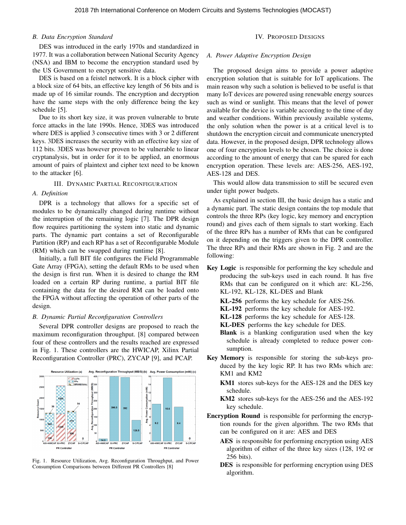# *B. Data Encryption Standard*

DES was introduced in the early 1970s and standardized in 1977. It was a collaboration between National Security Agency (NSA) and IBM to become the encryption standard used by the US Government to encrypt sensitive data.

DES is based on a feistel network. It is a block cipher with a block size of 64 bits, an effective key length of 56 bits and is made up of 16 similar rounds. The encryption and decryption have the same steps with the only difference being the key schedule [5].

Due to its short key size, it was proven vulnerable to brute force attacks in the late 1990s. Hence, 3DES was introduced where DES is applied 3 consecutive times with 3 or 2 different keys. 3DES increases the security with an effective key size of 112 bits. 3DES was however proven to be vulnerable to linear cryptanalysis, but in order for it to be applied, an enormous amount of pairs of plaintext and cipher text need to be known to the attacker [6].

# III. DYNAMIC PARTIAL RECONFIGURATION

# *A. Definition*

DPR is a technology that allows for a specific set of modules to be dynamically changed during runtime without the interruption of the remaining logic [7]. The DPR design flow requires partitioning the system into static and dynamic parts. The dynamic part contains a set of Reconfigurable Partition (RP) and each RP has a set of Reconfigurable Module (RM) which can be swapped during runtime [8].

Initially, a full BIT file configures the Field Programmable Gate Array (FPGA), setting the default RMs to be used when the design is first run. When it is desired to change the RM loaded on a certain RP during runtime, a partial BIT file containing the data for the desired RM can be loaded onto the FPGA without affecting the operation of other parts of the design.

## *B. Dynamic Partial Reconfiguration Controllers*

Several DPR controller designs are proposed to reach the maximum reconfiguration throughput. [8] compared between four of these controllers and the results reached are expressed in Fig. 1. These controllers are the HWICAP, Xilinx Partial Reconfiguration Controller (PRC), ZYCAP [9], and PCAP.



Fig. 1. Resource Utilization, Avg. Reconfiguration Throughput, and Power Consumption Comparisons between Different PR Controllers [8]

# IV. PROPOSED DESIGNS

## *A. Power Adaptive Encryption Design*

The proposed design aims to provide a power adaptive encryption solution that is suitable for IoT applications. The main reason why such a solution is believed to be useful is that many IoT devices are powered using renewable energy sources such as wind or sunlight. This means that the level of power available for the device is variable according to the time of day and weather conditions. Within previously available systems, the only solution when the power is at a critical level is to shutdown the encryption circuit and communicate unencrypted data. However, in the proposed design, DPR technology allows one of four encryption levels to be chosen. The choice is done according to the amount of energy that can be spared for each encryption operation. These levels are: AES-256, AES-192, AES-128 and DES.

This would allow data transmission to still be secured even under tight power budgets.

As explained in section III, the basic design has a static and a dynamic part. The static design contains the top module that controls the three RPs (key logic, key memory and encryption round) and gives each of them signals to start working. Each of the three RPs has a number of RMs that can be configured on it depending on the triggers given to the DPR controller. The three RPs and their RMs are shown in Fig. 2 and are the following:

- Key Logic is responsible for performing the key schedule and producing the sub-keys used in each round. It has five RMs that can be configured on it which are: KL-256, KL-192, KL-128, KL-DES and Blank
	- KL-256 performs the key schedule for AES-256.
	- KL-192 performs the key schedule for AES-192.
	- KL-128 performs the key schedule for AES-128.
	- KL-DES performs the key schedule for DES.
	- Blank is a blanking configuration used when the key schedule is already completed to reduce power consumption.
- Key Memory is responsible for storing the sub-keys produced by the key logic RP. It has two RMs which are: KM1 and KM2
	- KM1 stores sub-keys for the AES-128 and the DES key schedule.
	- KM2 stores sub-keys for the AES-256 and the AES-192 key schedule.
- Encryption Round is responsible for performing the encryption rounds for the given algorithm. The two RMs that can be configured on it are: AES and DES
	- AES is responsible for performing encryption using AES algorithm of either of the three key sizes (128, 192 or 256 bits).
	- DES is responsible for performing encryption using DES algorithm.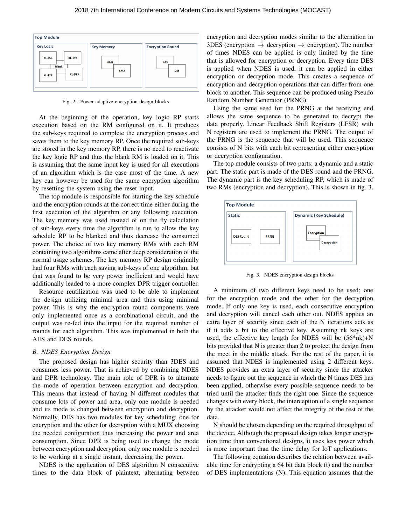

Fig. 2. Power adaptive encryption design blocks

At the beginning of the operation, key logic RP starts execution based on the RM configured on it. It produces the sub-keys required to complete the encryption process and saves them to the key memory RP. Once the required sub-keys are stored in the key memory RP, there is no need to reactivate the key logic RP and thus the blank RM is loaded on it. This is assuming that the same input key is used for all executions of an algorithm which is the case most of the time. A new key can however be used for the same encryption algorithm by resetting the system using the reset input.

The top module is responsible for starting the key schedule and the encryption rounds at the correct time either during the first execution of the algorithm or any following execution. The key memory was used instead of on the fly calculation of sub-keys every time the algorithm is run to allow the key schedule RP to be blanked and thus decrease the consumed power. The choice of two key memory RMs with each RM containing two algorithms came after deep consideration of the normal usage schemes. The key memory RP design originally had four RMs with each saving sub-keys of one algorithm, but that was found to be very power inefficient and would have additionally leaded to a more complex DPR trigger controller.

Resource reutilization was used to be able to implement the design utilizing minimal area and thus using minimal power. This is why the encryption round components were only implemented once as a combinational circuit, and the output was re-fed into the input for the required number of rounds for each algorithm. This was implemented in both the AES and DES rounds.

## *B. NDES Encryption Design*

The proposed design has higher security than 3DES and consumes less power. That is achieved by combining NDES and DPR technology. The main role of DPR is to alternate the mode of operation between encryption and decryption. This means that instead of having N different modules that consume lots of power and area, only one module is needed and its mode is changed between encryption and decryption. Normally, DES has two modules for key scheduling; one for encryption and the other for decryption with a MUX choosing the needed configuration thus increasing the power and area consumption. Since DPR is being used to change the mode between encryption and decryption, only one module is needed to be working at a single instant, decreasing the power.

NDES is the application of DES algorithm N consecutive times to the data block of plaintext, alternating between

encryption and decryption modes similar to the alternation in 3DES (encryption  $\rightarrow$  decryption  $\rightarrow$  encryption). The number of times NDES can be applied is only limited by the time that is allowed for encryption or decryption. Every time DES is applied when NDES is used, it can be applied in either encryption or decryption mode. This creates a sequence of encryption and decryption operations that can differ from one block to another. This sequence can be produced using Pseudo Random Number Generator (PRNG).

Using the same seed for the PRNG at the receiving end allows the same sequence to be generated to decrypt the data properly. Linear Feedback Shift Registers (LFSR) with N registers are used to implement the PRNG. The output of the PRNG is the sequence that will be used. This sequence consists of N bits with each bit representing either encryption or decryption configuration.

The top module consists of two parts: a dynamic and a static part. The static part is made of the DES round and the PRNG. The dynamic part is the key scheduling RP, which is made of two RMs (encryption and decryption). This is shown in fig. 3.



Fig. 3. NDES encryption design blocks

A minimum of two different keys need to be used: one for the encryption mode and the other for the decryption mode. If only one key is used, each consecutive encryption and decryption will cancel each other out. NDES applies an extra layer of security since each of the N iterations acts as if it adds a bit to the effective key. Assuming nk keys are used, the effective key length for NDES will be (56\*nk)+N bits provided that N is greater than 2 to protect the design from the meet in the middle attack. For the rest of the paper, it is assumed that NDES is implemented using 2 different keys. NDES provides an extra layer of security since the attacker needs to figure out the sequence in which the N times DES has been applied, otherwise every possible sequence needs to be tried until the attacker finds the right one. Since the sequence changes with every block, the interception of a single sequence by the attacker would not affect the integrity of the rest of the data.

N should be chosen depending on the required throughput of the device. Although the proposed design takes longer encryption time than conventional designs, it uses less power which is more important than the time delay for IoT applications.

The following equation describes the relation between available time for encrypting a 64 bit data block (t) and the number of DES implementations (N). This equation assumes that the